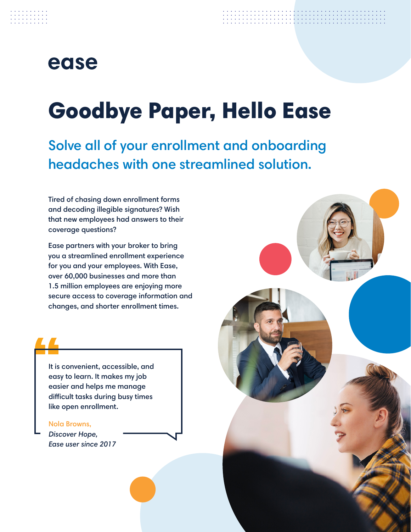# Goodbye Paper, Hello Ease

Solve all of your enrollment and onboarding headaches with one streamlined solution.

Tired of chasing down enrollment forms and decoding illegible signatures? Wish that new employees had answers to their coverage questions?

Ease partners with your broker to bring you a streamlined enrollment experience for you and your employees. With Ease, over 60,000 businesses and more than 1.5 million employees are enjoying more secure access to coverage information and changes, and shorter enrollment times.



It is convenient, accessible, and easy to learn. It makes my job easier and helps me manage difficult tasks during busy times like open enrollment.

#### Nola Browns,

*Discover Hope, Ease user since 2017*

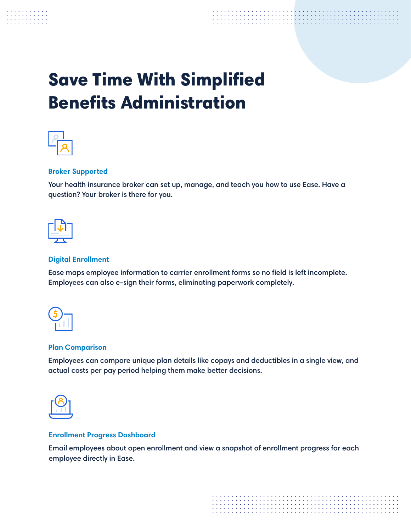

# Save Time With Simplified Benefits Administration



# **Broker Supported**

Your health insurance broker can set up, manage, and teach you how to use Ease. Have a question? Your broker is there for you.



# **Digital Enrollment**

Ease maps employee information to carrier enrollment forms so no field is left incomplete. Employees can also e-sign their forms, eliminating paperwork completely.



## **Plan Comparison**

Employees can compare unique plan details like copays and deductibles in a single view, and actual costs per pay period helping them make better decisions.



## **Enrollment Progress Dashboard**

Email employees about open enrollment and view a snapshot of enrollment progress for each employee directly in Ease.